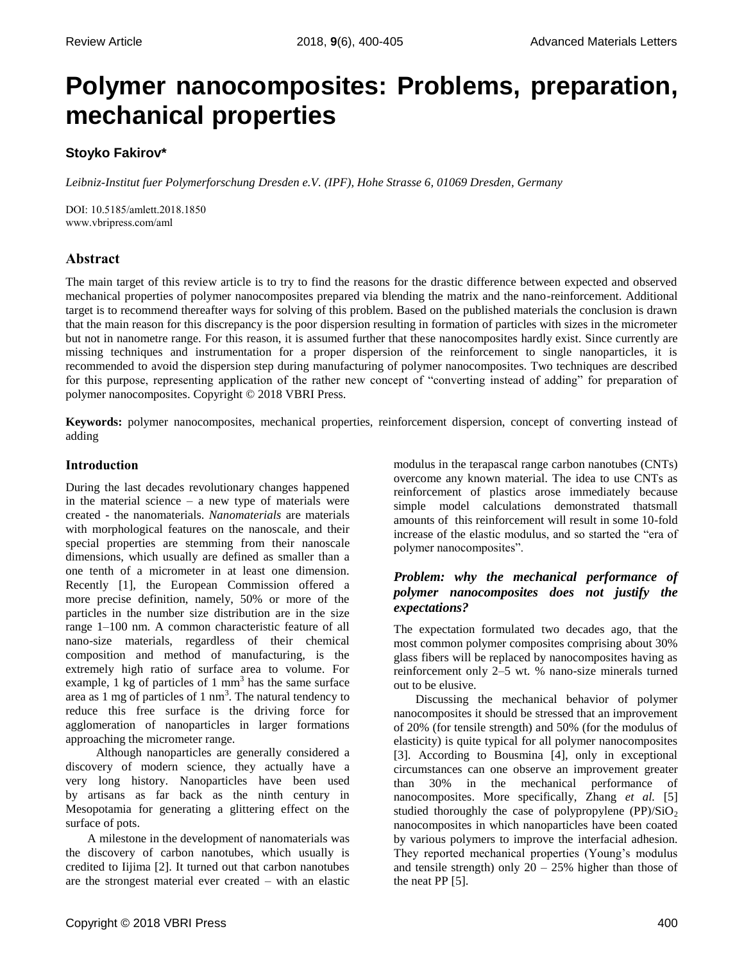# **Polymer nanocomposites: Problems, preparation, mechanical properties**

# **Stoyko Fakirov\***

*Leibniz-Institut fuer Polymerforschung Dresden e.V. (IPF), Hohe Strasse 6, 01069 Dresden, Germany* 

DOI: 10.5185/amlett.2018.1850 www.vbripress.com/aml

# **Abstract**

The main target of this review article is to try to find the reasons for the drastic difference between expected and observed mechanical properties of polymer nanocomposites prepared via blending the matrix and the nano-reinforcement. Additional target is to recommend thereafter ways for solving of this problem. Based on the published materials the conclusion is drawn that the main reason for this discrepancy is the poor dispersion resulting in formation of particles with sizes in the micrometer but not in nanometre range. For this reason, it is assumed further that these nanocomposites hardly exist. Since currently are missing techniques and instrumentation for a proper dispersion of the reinforcement to single nanoparticles, it is recommended to avoid the dispersion step during manufacturing of polymer nanocomposites. Two techniques are described for this purpose, representing application of the rather new concept of "converting instead of adding" for preparation of polymer nanocomposites. Copyright © 2018 VBRI Press.

**Keywords:** polymer nanocomposites, mechanical properties, reinforcement dispersion, concept of converting instead of adding

## **Introduction**

During the last decades revolutionary changes happened in the material science  $-$  a new type of materials were created - the nanomaterials. *Nanomaterials* are materials with morphological features on the nanoscale, and their special properties are stemming from their nanoscale dimensions, which usually are defined as smaller than a one tenth of a micrometer in at least one dimension. Recently [1], the European Commission offered a more precise definition, namely, 50% or more of the particles in the number size distribution are in the size range 1–100 nm. A common characteristic feature of all nano-size materials, regardless of their chemical composition and method of manufacturing, is the extremely high ratio of surface area to volume. For example,  $1 \text{ kg}$  of particles of  $1 \text{ mm}^3$  has the same surface area as  $1 \text{ mg}$  of particles of  $1 \text{ nm}^3$ . The natural tendency to reduce this free surface is the driving force for agglomeration of nanoparticles in larger formations approaching the micrometer range.

Although nanoparticles are generally considered a discovery of modern science, they actually have a very long history. Nanoparticles have been used by artisans as far back as the ninth century in Mesopotamia for generating a glittering effect on the surface of pots.

A milestone in the development of nanomaterials was the discovery of carbon nanotubes, which usually is credited to Iijima [2]. It turned out that carbon nanotubes are the strongest material ever created – with an elastic

modulus in the terapascal range carbon nanotubes (CNTs) overcome any known material. The idea to use CNTs as reinforcement of plastics arose immediately because simple model calculations demonstrated thatsmall amounts of this reinforcement will result in some 10-fold increase of the elastic modulus, and so started the "era of polymer nanocomposites".

## *Problem: why the mechanical performance of polymer nanocomposites does not justify the expectations?*

The expectation formulated two decades ago, that the most common polymer composites comprising about 30% glass fibers will be replaced by nanocomposites having as reinforcement only 2–5 wt. % nano-size minerals turned out to be elusive.

Discussing the mechanical behavior of polymer nanocomposites it should be stressed that an improvement of 20% (for tensile strength) and 50% (for the modulus of elasticity) is quite typical for all polymer nanocomposites [3]. According to Bousmina [4], only in exceptional circumstances can one observe an improvement greater than 30% in the mechanical performance of nanocomposites. More specifically, Zhang *et al.* [5] studied thoroughly the case of polypropylene (PP)/ $SiO<sub>2</sub>$ nanocomposites in which nanoparticles have been coated by various polymers to improve the interfacial adhesion. They reported mechanical properties (Young's modulus and tensile strength) only  $20 - 25%$  higher than those of the neat PP [5].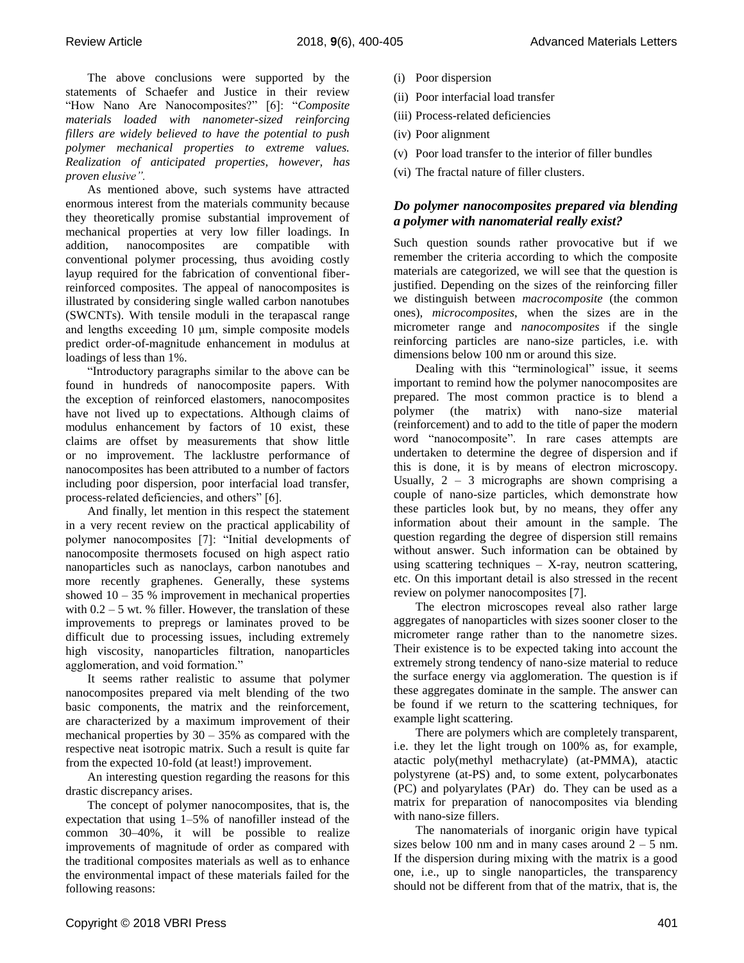The above conclusions were supported by the statements of Schaefer and Justice in their review "How Nano Are Nanocomposites?" [6]: "*Composite materials loaded with nanometer-sized reinforcing fillers are widely believed to have the potential to push polymer mechanical properties to extreme values. Realization of anticipated properties, however, has proven elusive".*

As mentioned above, such systems have attracted enormous interest from the materials community because they theoretically promise substantial improvement of mechanical properties at very low filler loadings. In addition, nanocomposites are compatible with conventional polymer processing, thus avoiding costly layup required for the fabrication of conventional fiberreinforced composites. The appeal of nanocomposites is illustrated by considering single walled carbon nanotubes (SWCNTs). With tensile moduli in the terapascal range and lengths exceeding 10 μm, simple composite models predict order-of-magnitude enhancement in modulus at loadings of less than 1%.

"Introductory paragraphs similar to the above can be found in hundreds of nanocomposite papers. With the exception of reinforced elastomers, nanocomposites have not lived up to expectations. Although claims of modulus enhancement by factors of 10 exist, these claims are offset by measurements that show little or no improvement. The lacklustre performance of nanocomposites has been attributed to a number of factors including poor dispersion, poor interfacial load transfer, process-related deficiencies, and others" [6].

And finally, let mention in this respect the statement in a very recent review on the practical applicability of polymer nanocomposites [7]: "Initial developments of nanocomposite thermosets focused on high aspect ratio nanoparticles such as nanoclays, carbon nanotubes and more recently graphenes. Generally, these systems showed  $10 - 35$  % improvement in mechanical properties with  $0.2 - 5$  wt. % filler. However, the translation of these improvements to prepregs or laminates proved to be difficult due to processing issues, including extremely high viscosity, nanoparticles filtration, nanoparticles agglomeration, and void formation."

It seems rather realistic to assume that polymer nanocomposites prepared via melt blending of the two basic components, the matrix and the reinforcement, are characterized by a maximum improvement of their mechanical properties by  $30 - 35%$  as compared with the respective neat isotropic matrix. Such a result is quite far from the expected 10-fold (at least!) improvement.

An interesting question regarding the reasons for this drastic discrepancy arises.

The concept of polymer nanocomposites, that is, the expectation that using 1–5% of nanofiller instead of the common 30–40%, it will be possible to realize improvements of magnitude of order as compared with the traditional composites materials as well as to enhance the environmental impact of these materials failed for the following reasons:

- (i) Poor dispersion
- (ii) Poor interfacial load transfer
- (iii) Process-related deficiencies
- (iv) Poor alignment
- (v) Poor load transfer to the interior of filler bundles
- (vi) The fractal nature of filler clusters.

## *Do polymer nanocomposites prepared via blending a polymer with nanomaterial really exist?*

Such question sounds rather provocative but if we remember the criteria according to which the composite materials are categorized, we will see that the question is justified. Depending on the sizes of the reinforcing filler we distinguish between *macrocomposite* (the common ones), *microcomposites*, when the sizes are in the micrometer range and *nanocomposites* if the single reinforcing particles are nano-size particles, i.e. with dimensions below 100 nm or around this size.

Dealing with this "terminological" issue, it seems important to remind how the polymer nanocomposites are prepared. The most common practice is to blend a polymer (the matrix) with nano-size material (reinforcement) and to add to the title of paper the modern word "nanocomposite". In rare cases attempts are undertaken to determine the degree of dispersion and if this is done, it is by means of electron microscopy. Usually,  $2 - 3$  micrographs are shown comprising a couple of nano-size particles, which demonstrate how these particles look but, by no means, they offer any information about their amount in the sample. The question regarding the degree of dispersion still remains without answer. Such information can be obtained by using scattering techniques – X-ray, neutron scattering, etc. On this important detail is also stressed in the recent review on polymer nanocomposites [7].

The electron microscopes reveal also rather large aggregates of nanoparticles with sizes sooner closer to the micrometer range rather than to the nanometre sizes. Their existence is to be expected taking into account the extremely strong tendency of nano-size material to reduce the surface energy via agglomeration. The question is if these aggregates dominate in the sample. The answer can be found if we return to the scattering techniques, for example light scattering.

There are polymers which are completely transparent, i.e. they let the light trough on 100% as, for example, atactic poly(methyl methacrylate) (at-PMMA), atactic polystyrene (at-PS) and, to some extent, polycarbonates (PC) and polyarylates (PAr) do. They can be used as a matrix for preparation of nanocomposites via blending with nano-size fillers.

The nanomaterials of inorganic origin have typical sizes below 100 nm and in many cases around  $2 - 5$  nm. If the dispersion during mixing with the matrix is a good one, i.e., up to single nanoparticles, the transparency should not be different from that of the matrix, that is, the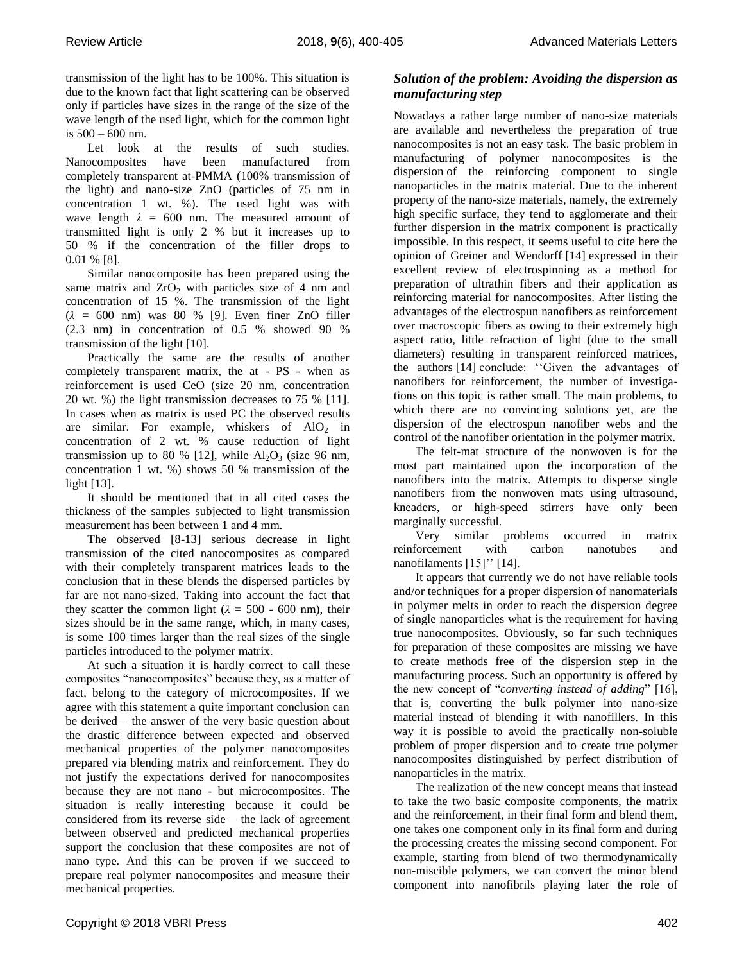transmission of the light has to be 100%. This situation is due to the known fact that light scattering can be observed only if particles have sizes in the range of the size of the wave length of the used light, which for the common light is 500 – 600 nm.

Let look at the results of such studies. Nanocomposites have been manufactured from completely transparent at-PMMA (100% transmission of the light) and nano-size ZnO (particles of 75 nm in concentration 1 wt. %). The used light was with wave length  $\lambda = 600$  nm. The measured amount of transmitted light is only 2 % but it increases up to 50 % if the concentration of the filler drops to 0.01 % [8].

Similar nanocomposite has been prepared using the same matrix and  $ZrO<sub>2</sub>$  with particles size of 4 nm and concentration of 15 %. The transmission of the light (*λ* = 600 nm) was 80 % [9]. Even finer ZnO filler (2.3 nm) in concentration of 0.5 % showed 90 % transmission of the light [10].

Practically the same are the results of another completely transparent matrix, the at - PS - when as reinforcement is used CeO (size 20 nm, concentration 20 wt. %) the light transmission decreases to 75 % [11]. In cases when as matrix is used PC the observed results are similar. For example, whiskers of  $AIO<sub>2</sub>$  in concentration of 2 wt. % cause reduction of light transmission up to 80 % [12], while  $Al_2O_3$  (size 96 nm, concentration 1 wt. %) shows 50 % transmission of the light [13].

It should be mentioned that in all cited cases the thickness of the samples subjected to light transmission measurement has been between 1 and 4 mm.

The observed [8-13] serious decrease in light transmission of the cited nanocomposites as compared with their completely transparent matrices leads to the conclusion that in these blends the dispersed particles by far are not nano-sized. Taking into account the fact that they scatter the common light ( $\lambda = 500$  - 600 nm), their sizes should be in the same range, which, in many cases, is some 100 times larger than the real sizes of the single particles introduced to the polymer matrix.

At such a situation it is hardly correct to call these composites "nanocomposites" because they, as a matter of fact, belong to the category of microcomposites. If we agree with this statement a quite important conclusion can be derived – the answer of the very basic question about the drastic difference between expected and observed mechanical properties of the polymer nanocomposites prepared via blending matrix and reinforcement. They do not justify the expectations derived for nanocomposites because they are not nano - but microcomposites. The situation is really interesting because it could be considered from its reverse side – the lack of agreement between observed and predicted mechanical properties support the conclusion that these composites are not of nano type. And this can be proven if we succeed to prepare real polymer nanocomposites and measure their mechanical properties.

# *Solution of the problem: Avoiding the dispersion as manufacturing step*

Nowadays a rather large number of nano-size materials are available and nevertheless the preparation of true nanocomposites is not an easy task. The basic problem in manufacturing of polymer nanocomposites is the dispersion of the reinforcing component to single nanoparticles in the matrix material. Due to the inherent property of the nano-size materials, namely, the extremely high specific surface, they tend to agglomerate and their further dispersion in the matrix component is practically impossible. In this respect, it seems useful to cite here the opinion of Greiner and Wendorff [14] expressed in their excellent review of electrospinning as a method for preparation of ultrathin fibers and their application as reinforcing material for nanocomposites. After listing the advantages of the electrospun nanofibers as reinforcement over macroscopic fibers as owing to their extremely high aspect ratio, little refraction of light (due to the small diameters) resulting in transparent reinforced matrices, the authors [14] conclude: "Given the advantages of nanofibers for reinforcement, the number of investigations on this topic is rather small. The main problems, to which there are no convincing solutions yet, are the dispersion of the electrospun nanofiber webs and the control of the nanofiber orientation in the polymer matrix.

The felt-mat structure of the nonwoven is for the most part maintained upon the incorporation of the nanofibers into the matrix. Attempts to disperse single nanofibers from the nonwoven mats using ultrasound, kneaders, or high-speed stirrers have only been marginally successful.

Very similar problems occurred in matrix reinforcement with carbon nanotubes and nanofilaments  $[15]$ "  $[14]$ .

It appears that currently we do not have reliable tools and/or techniques for a proper dispersion of nanomaterials in polymer melts in order to reach the dispersion degree of single nanoparticles what is the requirement for having true nanocomposites. Obviously, so far such techniques for preparation of these composites are missing we have to create methods free of the dispersion step in the manufacturing process. Such an opportunity is offered by the new concept of "*converting instead of adding*" [16], that is, converting the bulk polymer into nano-size material instead of blending it with nanofillers. In this way it is possible to avoid the practically non-soluble problem of proper dispersion and to create true polymer nanocomposites distinguished by perfect distribution of nanoparticles in the matrix.

The realization of the new concept means that instead to take the two basic composite components, the matrix and the reinforcement, in their final form and blend them, one takes one component only in its final form and during the processing creates the missing second component. For example, starting from blend of two thermodynamically non-miscible polymers, we can convert the minor blend component into nanofibrils playing later the role of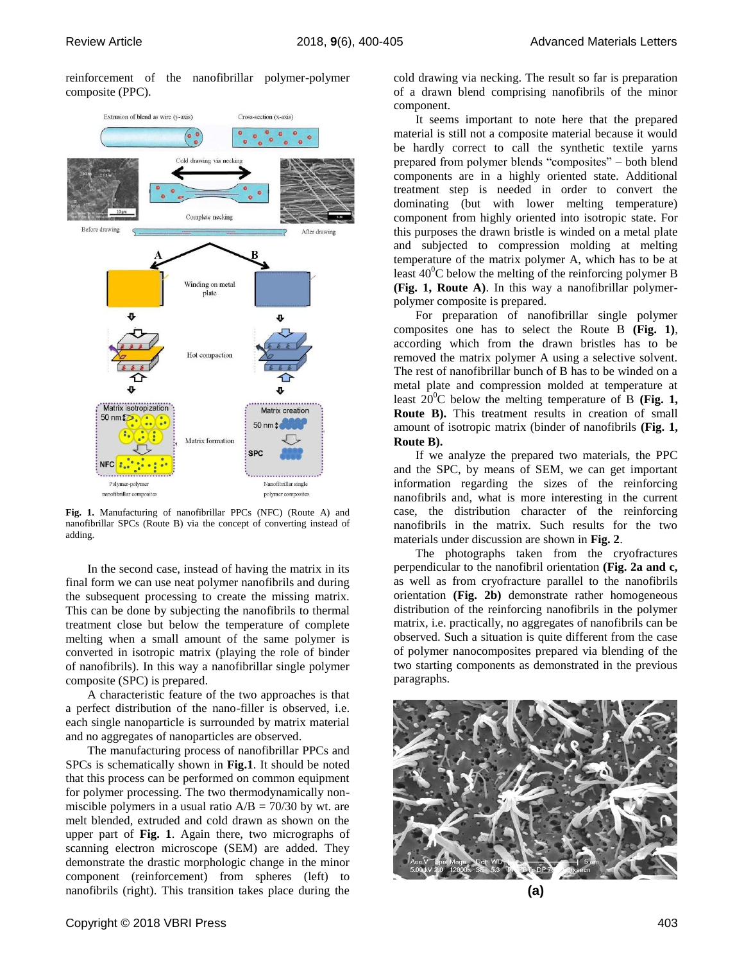reinforcement of the nanofibrillar polymer-polymer composite (PPC).



**Fig. 1.** Manufacturing of nanofibrillar PPCs (NFC) (Route A) and nanofibrillar SPCs (Route B) via the concept of converting instead of adding.

In the second case, instead of having the matrix in its final form we can use neat polymer nanofibrils and during the subsequent processing to create the missing matrix. This can be done by subjecting the nanofibrils to thermal treatment close but below the temperature of complete melting when a small amount of the same polymer is converted in isotropic matrix (playing the role of binder of nanofibrils). In this way a nanofibrillar single polymer composite (SPC) is prepared.

A characteristic feature of the two approaches is that a perfect distribution of the nano-filler is observed, i.e. each single nanoparticle is surrounded by matrix material and no aggregates of nanoparticles are observed.

The manufacturing process of nanofibrillar PPCs and SPCs is schematically shown in **Fig.1**. It should be noted that this process can be performed on common equipment for polymer processing. The two thermodynamically nonmiscible polymers in a usual ratio  $A/B = 70/30$  by wt. are melt blended, extruded and cold drawn as shown on the upper part of **Fig. 1**. Again there, two micrographs of scanning electron microscope (SEM) are added. They demonstrate the drastic morphologic change in the minor component (reinforcement) from spheres (left) to nanofibrils (right). This transition takes place during the

cold drawing via necking. The result so far is preparation of a drawn blend comprising nanofibrils of the minor component.

It seems important to note here that the prepared material is still not a composite material because it would be hardly correct to call the synthetic textile yarns prepared from polymer blends "composites" – both blend components are in a highly oriented state. Additional treatment step is needed in order to convert the dominating (but with lower melting temperature) component from highly oriented into isotropic state. For this purposes the drawn bristle is winded on a metal plate and subjected to compression molding at melting temperature of the matrix polymer A, which has to be at least  $40^{\circ}$ C below the melting of the reinforcing polymer B **(Fig. 1, Route A)**. In this way a nanofibrillar polymerpolymer composite is prepared.

For preparation of nanofibrillar single polymer composites one has to select the Route B **(Fig. 1)**, according which from the drawn bristles has to be removed the matrix polymer A using a selective solvent. The rest of nanofibrillar bunch of B has to be winded on a metal plate and compression molded at temperature at least  $20^{\circ}$ C below the melting temperature of B (Fig. 1, **Route B).** This treatment results in creation of small amount of isotropic matrix (binder of nanofibrils **(Fig. 1, Route B).**

If we analyze the prepared two materials, the PPC and the SPC, by means of SEM, we can get important information regarding the sizes of the reinforcing nanofibrils and, what is more interesting in the current case, the distribution character of the reinforcing nanofibrils in the matrix. Such results for the two materials under discussion are shown in **Fig. 2**.

The photographs taken from the cryofractures perpendicular to the nanofibril orientation **(Fig. 2a and c,** as well as from cryofracture parallel to the nanofibrils orientation **(Fig. 2b)** demonstrate rather homogeneous distribution of the reinforcing nanofibrils in the polymer matrix, i.e. practically, no aggregates of nanofibrils can be observed. Such a situation is quite different from the case of polymer nanocomposites prepared via blending of the two starting components as demonstrated in the previous paragraphs.



**(a)**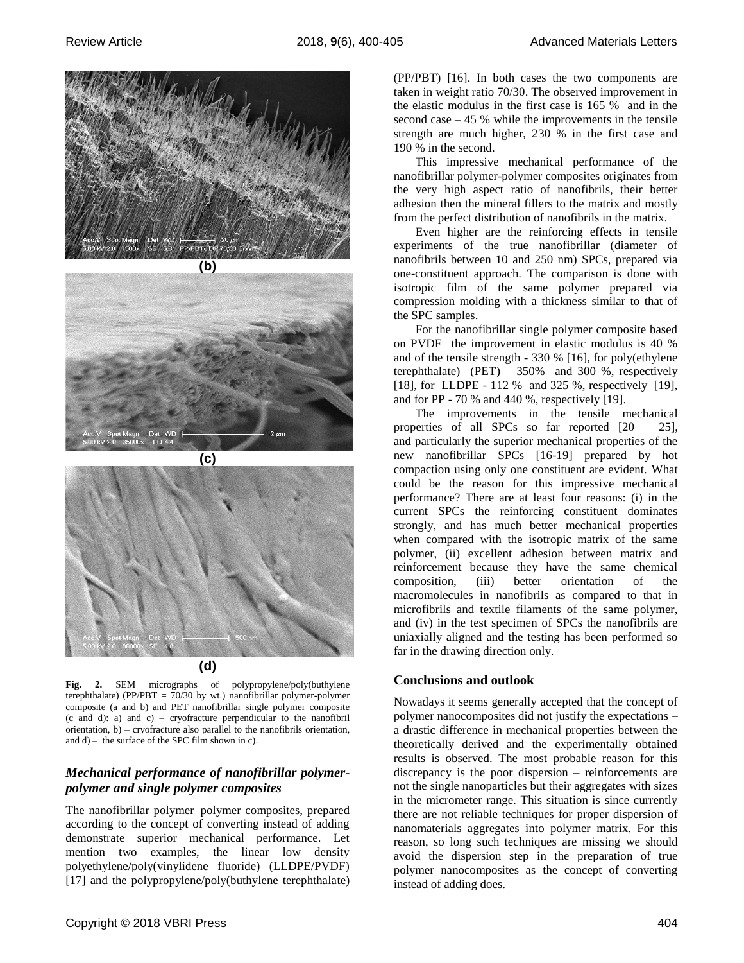





**Fig. 2.** SEM micrographs of polypropylene/poly(buthylene terephthalate) (PP/PBT = 70/30 by wt.) nanofibrillar polymer-polymer composite (a and b) and PET nanofibrillar single polymer composite (c and d): a) and c) – cryofracture perpendicular to the nanofibril orientation, b) – cryofracture also parallel to the nanofibrils orientation, and  $d$ ) – the surface of the SPC film shown in c).

# *Mechanical performance of nanofibrillar polymerpolymer and single polymer composites*

The nanofibrillar polymer–polymer composites, prepared according to the concept of converting instead of adding demonstrate superior mechanical performance. Let mention two examples, the linear low density polyethylene/poly(vinylidene fluoride) (LLDPE/PVDF) [17] and the polypropylene/poly(buthylene terephthalate) (PP/PBT) [16]. In both cases the two components are taken in weight ratio 70/30. The observed improvement in the elastic modulus in the first case is 165 % and in the second case  $-45$  % while the improvements in the tensile strength are much higher, 230 % in the first case and 190 % in the second.

This impressive mechanical performance of the nanofibrillar polymer-polymer composites originates from the very high aspect ratio of nanofibrils, their better adhesion then the mineral fillers to the matrix and mostly from the perfect distribution of nanofibrils in the matrix.

Even higher are the reinforcing effects in tensile experiments of the true nanofibrillar (diameter of nanofibrils between 10 and 250 nm) SPCs, prepared via one-constituent approach. The comparison is done with isotropic film of the same polymer prepared via compression molding with a thickness similar to that of the SPC samples.

For the nanofibrillar single polymer composite based on PVDF the improvement in elastic modulus is 40 % and of the tensile strength - 330 % [16], for poly(ethylene terephthalate)  $(PET) - 350\%$  and 300 %, respectively [18], for LLDPE - 112 % and 325 %, respectively [19], and for PP - 70 % and 440 %, respectively [19].

The improvements in the tensile mechanical properties of all SPCs so far reported [20 – 25], and particularly the superior mechanical properties of the new nanofibrillar SPCs [16-19] prepared by hot compaction using only one constituent are evident. What could be the reason for this impressive mechanical performance? There are at least four reasons: (i) in the current SPCs the reinforcing constituent dominates strongly, and has much better mechanical properties when compared with the isotropic matrix of the same polymer, (ii) excellent adhesion between matrix and reinforcement because they have the same chemical composition, (iii) better orientation of the macromolecules in nanofibrils as compared to that in microfibrils and textile filaments of the same polymer, and (iv) in the test specimen of SPCs the nanofibrils are uniaxially aligned and the testing has been performed so far in the drawing direction only.

#### **Conclusions and outlook**

Nowadays it seems generally accepted that the concept of polymer nanocomposites did not justify the expectations – a drastic difference in mechanical properties between the theoretically derived and the experimentally obtained results is observed. The most probable reason for this discrepancy is the poor dispersion – reinforcements are not the single nanoparticles but their aggregates with sizes in the micrometer range. This situation is since currently there are not reliable techniques for proper dispersion of nanomaterials aggregates into polymer matrix. For this reason, so long such techniques are missing we should avoid the dispersion step in the preparation of true polymer nanocomposites as the concept of converting instead of adding does.